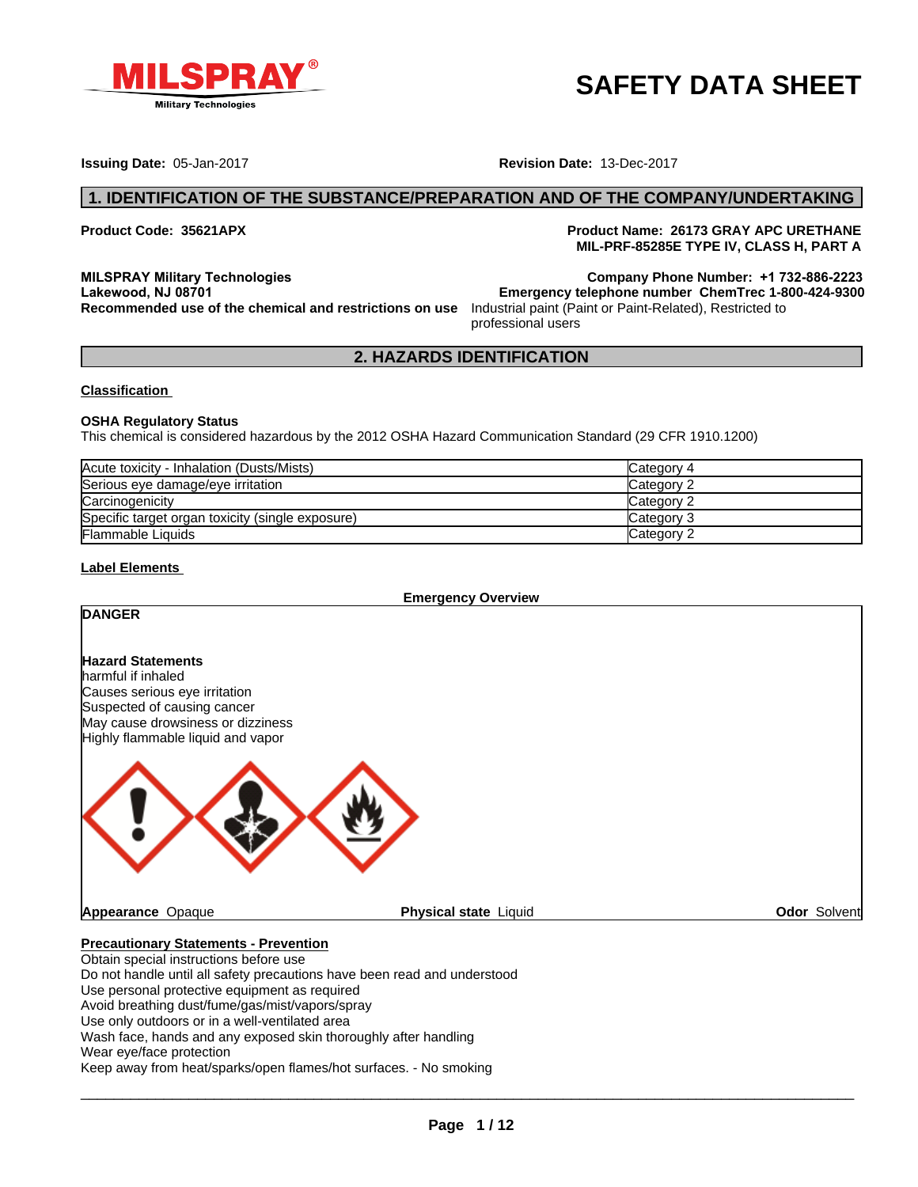

# **SAFETY DATA SHEET**

**Issuing Date:** 05-Jan-2017 **Revision Date:** 13-Dec-2017

**Product Code: 35621APX Product Name: 26173 GRAY APC URETHANE MIL-PRF-85285E TYPE IV, CLASS H, PART A**

**MILSPRAY Military Technologies Company Phone Number: +1 732-886-2223 Recommended use of the chemical and restrictions on use** Industrial paint (Paint or Paint-Related), Restricted to

professional users **2. HAZARDS IDENTIFICATION**<br> **2. HAZARDS IDENTIFICATION**<br> **2. HAZARDS IDENTIFICATION**<br> **2. HAZARDS IDENTIFICATION**<br> **2. HAZARDS IDENTIFICATION**<br> **2. HAZARDS IDENTIFICATION Lakewood, NJ 08701 Emergency telephone number ChemTrec 1-800-424-9300**

### **Classification**

### **OSHA Regulatory Status**

This chemical is considered hazardous by the 2012 OSHA Hazard Communication Standard (29 CFR 1910.1200)

| Acute toxicity - Inhalation (Dusts/Mists)        | Category 4 |
|--------------------------------------------------|------------|
| Serious eye damage/eye irritation                | Category 2 |
| Carcinogenicity                                  | Category 2 |
| Specific target organ toxicity (single exposure) | Category 3 |
| <b>Flammable Liquids</b>                         | Category 2 |

# **Label Elements**

**Emergency Overview**

| <b>DANGER</b>                                                                                                                                                                            |                              |                     |
|------------------------------------------------------------------------------------------------------------------------------------------------------------------------------------------|------------------------------|---------------------|
| <b>Hazard Statements</b><br>harmful if inhaled<br>Causes serious eye irritation<br>Suspected of causing cancer<br>May cause drowsiness or dizziness<br>Highly flammable liquid and vapor |                              |                     |
|                                                                                                                                                                                          |                              |                     |
| <b>Appearance Opaque</b>                                                                                                                                                                 | <b>Physical state Liquid</b> | <b>Odor Solvent</b> |
| <b>Precautionary Statements - Prevention</b>                                                                                                                                             |                              |                     |
| Obtain special instructions before use                                                                                                                                                   |                              |                     |
| Do not handle until all safety precautions have been read and understood                                                                                                                 |                              |                     |
| Use personal protective equipment as required                                                                                                                                            |                              |                     |
| Avoid breathing dust/fume/gas/mist/vapors/spray                                                                                                                                          |                              |                     |
| Use only outdoors or in a well-ventilated area                                                                                                                                           |                              |                     |

Wash face, hands and any exposed skin thoroughly after handling

Wear eye/face protection

Keep away from heat/sparks/open flames/hot surfaces. - No smoking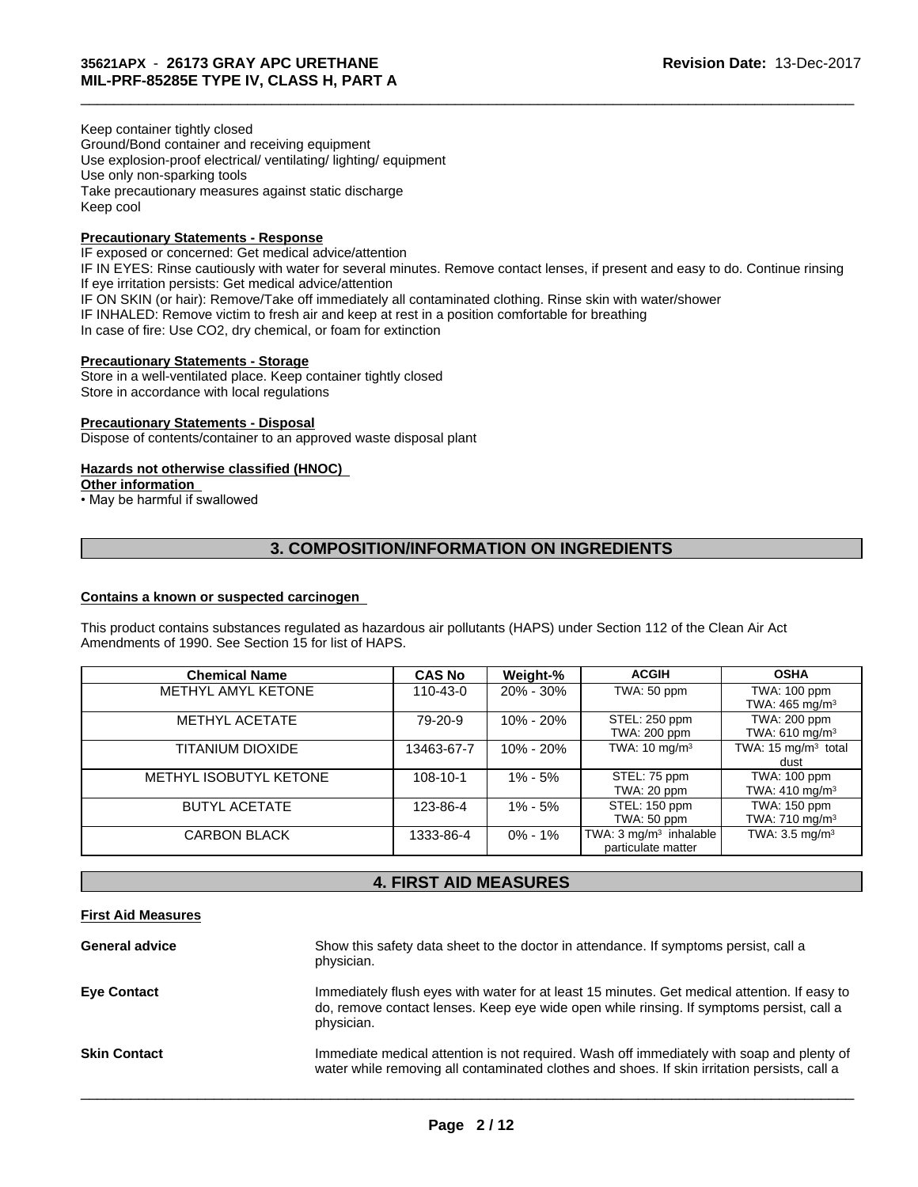Keep container tightly closed Ground/Bond container and receiving equipment Use explosion-proof electrical/ ventilating/ lighting/ equipment Use only non-sparking tools Take precautionary measures against static discharge Keep cool

# **Precautionary Statements - Response**

IF exposed or concerned: Get medical advice/attention IF IN EYES: Rinse cautiously with water for several minutes. Remove contact lenses, if present and easy to do. Continue rinsing If eye irritation persists: Get medical advice/attention IF ON SKIN (or hair): Remove/Take off immediately all contaminated clothing. Rinse skin with water/shower IF INHALED: Remove victim to fresh air and keep at rest in a position comfortable for breathing In case of fire: Use CO2, dry chemical, or foam for extinction The Case of immediately all contaminated clothing. Rinse skin with water/shower<br>fresh air and keep at rest in a position comfortable for breathing<br>memical, or foam for extinction<br>iorange<br>Keep container tightly closed<br>**Sinc** 

 $\_$  ,  $\_$  ,  $\_$  ,  $\_$  ,  $\_$  ,  $\_$  ,  $\_$  ,  $\_$  ,  $\_$  ,  $\_$  ,  $\_$  ,  $\_$  ,  $\_$  ,  $\_$  ,  $\_$  ,  $\_$  ,  $\_$  ,  $\_$  ,  $\_$  ,  $\_$  ,  $\_$  ,  $\_$  ,  $\_$  ,  $\_$  ,  $\_$  ,  $\_$  ,  $\_$  ,  $\_$  ,  $\_$  ,  $\_$  ,  $\_$  ,  $\_$  ,  $\_$  ,  $\_$  ,  $\_$  ,  $\_$  ,  $\_$  ,

### **Precautionary Statements - Storage**

Store in a well-ventilated place. Keep container tightly closed Store in accordance with local regulations

### **Precautionary Statements - Disposal**

Dispose of contents/container to an approved waste disposal plant

# **Hazards not otherwise classified (HNOC)**

### **Other information**

• May be harmful if swallowed

# **Contains a known or suspected carcinogen**

| <b>Chemical Name</b>   | <b>CAS No</b>                | Weight-%    | <b>ACGIH</b>                                            | <b>OSHA</b>                                |
|------------------------|------------------------------|-------------|---------------------------------------------------------|--------------------------------------------|
| METHYL AMYL KETONE     | 110-43-0                     | 20% - 30%   | TWA: 50 ppm                                             | TWA: 100 ppm<br>TWA: $465 \text{ mg/m}^3$  |
| <b>METHYL ACETATE</b>  | 79-20-9                      | 10% - 20%   | STEL: 250 ppm<br>TWA: 200 ppm                           | TWA: 200 ppm<br>TWA: 610 mg/m <sup>3</sup> |
| TITANIUM DIOXIDE       | 13463-67-7                   | 10% - 20%   | TWA: $10 \text{ mg/m}^3$                                | TWA: 15 mg/m <sup>3</sup> total<br>dust    |
| METHYL ISOBUTYL KETONE | 108-10-1                     | 1% - 5%     | STEL: 75 ppm<br>TWA: 20 ppm                             | TWA: 100 ppm<br>TWA: $410 \text{ mg/m}^3$  |
| <b>BUTYL ACETATE</b>   | 123-86-4                     | $1\% - 5\%$ | STEL: 150 ppm<br>TWA: 50 ppm                            | TWA: 150 ppm<br>TWA: $710 \text{ mg/m}^3$  |
| <b>CARBON BLACK</b>    | 1333-86-4                    | $0\% - 1\%$ | TWA: $3 \text{ mg/m}^3$ inhalable<br>particulate matter | TWA: $3.5 \text{ mg/m}^3$                  |
|                        | <b>4. FIRST AID MEASURES</b> |             |                                                         |                                            |

# **First Aid Measures**

| <b>General advice</b> | Show this safety data sheet to the doctor in attendance. If symptoms persist, call a<br>physician.                                                                                                     |
|-----------------------|--------------------------------------------------------------------------------------------------------------------------------------------------------------------------------------------------------|
| <b>Eye Contact</b>    | Immediately flush eyes with water for at least 15 minutes. Get medical attention. If easy to<br>do, remove contact lenses. Keep eye wide open while rinsing. If symptoms persist, call a<br>physician. |
| <b>Skin Contact</b>   | Immediate medical attention is not required. Wash off immediately with soap and plenty of<br>water while removing all contaminated clothes and shoes. If skin irritation persists, call a              |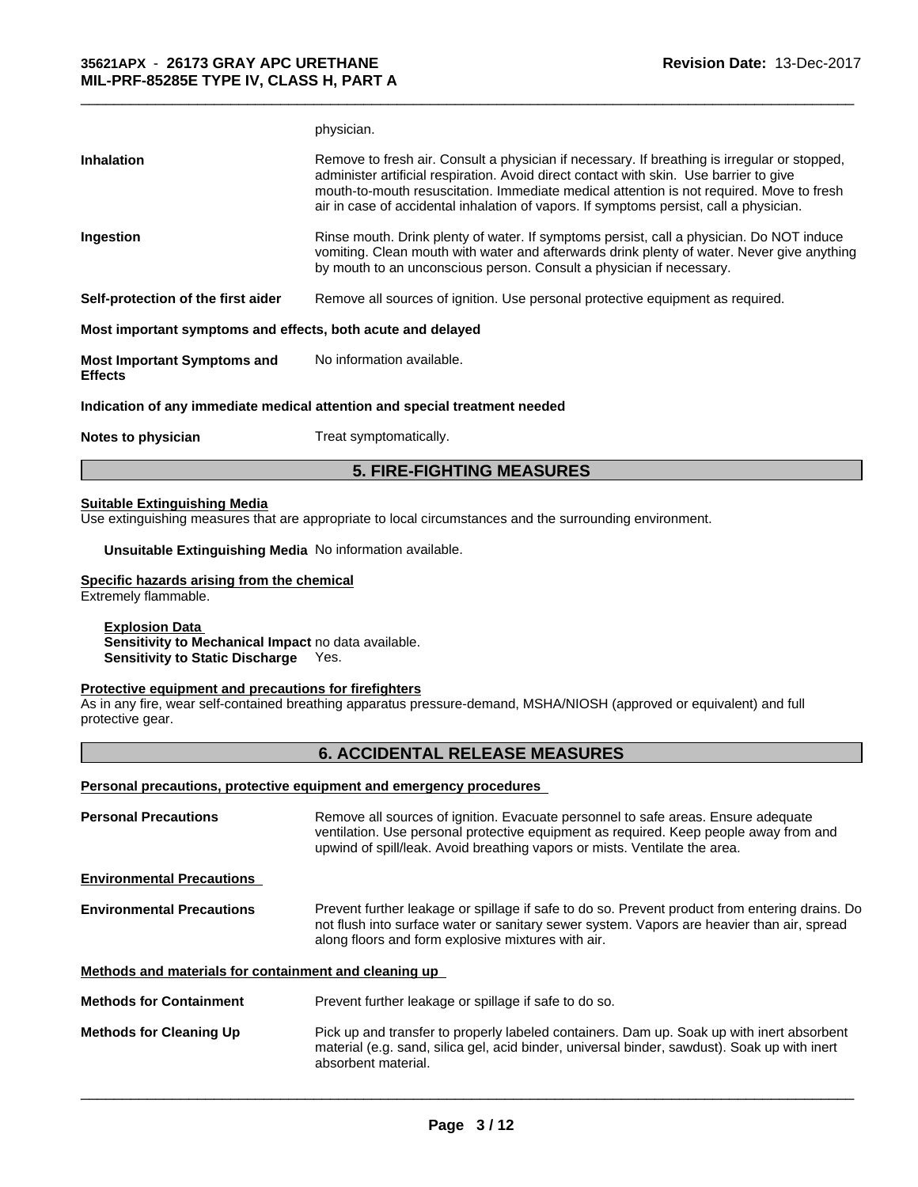|                                                             | physician.                                                                                                                                                                                                                                                                                                                                                                   |
|-------------------------------------------------------------|------------------------------------------------------------------------------------------------------------------------------------------------------------------------------------------------------------------------------------------------------------------------------------------------------------------------------------------------------------------------------|
| <b>Inhalation</b>                                           | Remove to fresh air. Consult a physician if necessary. If breathing is irregular or stopped,<br>administer artificial respiration. Avoid direct contact with skin. Use barrier to give<br>mouth-to-mouth resuscitation. Immediate medical attention is not required. Move to fresh<br>air in case of accidental inhalation of vapors. If symptoms persist, call a physician. |
| Ingestion                                                   | Rinse mouth. Drink plenty of water. If symptoms persist, call a physician. Do NOT induce<br>vomiting. Clean mouth with water and afterwards drink plenty of water. Never give anything<br>by mouth to an unconscious person. Consult a physician if necessary.                                                                                                               |
| Self-protection of the first aider                          | Remove all sources of ignition. Use personal protective equipment as required.                                                                                                                                                                                                                                                                                               |
| Most important symptoms and effects, both acute and delayed |                                                                                                                                                                                                                                                                                                                                                                              |
| <b>Most Important Symptoms and</b><br><b>Effects</b>        | No information available.                                                                                                                                                                                                                                                                                                                                                    |
|                                                             | Indication of any immediate medical attention and special treatment needed                                                                                                                                                                                                                                                                                                   |
| Notes to physician                                          | Treat symptomatically.                                                                                                                                                                                                                                                                                                                                                       |
|                                                             | <b>5. FIRE-FIGHTING MEASURES</b>                                                                                                                                                                                                                                                                                                                                             |

 $\_$  ,  $\_$  ,  $\_$  ,  $\_$  ,  $\_$  ,  $\_$  ,  $\_$  ,  $\_$  ,  $\_$  ,  $\_$  ,  $\_$  ,  $\_$  ,  $\_$  ,  $\_$  ,  $\_$  ,  $\_$  ,  $\_$  ,  $\_$  ,  $\_$  ,  $\_$  ,  $\_$  ,  $\_$  ,  $\_$  ,  $\_$  ,  $\_$  ,  $\_$  ,  $\_$  ,  $\_$  ,  $\_$  ,  $\_$  ,  $\_$  ,  $\_$  ,  $\_$  ,  $\_$  ,  $\_$  ,  $\_$  ,  $\_$  ,

**Unsuitable Extinguishing Media** No information available.

### **Specific hazards arising from the chemical**

Extremely flammable.

### **Explosion Data**

**Sensitivity to Mechanical Impact** no data available. **Sensitivity to Static Discharge** Yes.

# **Protective equipment and precautions for firefighters**

As in any fire, wear self-contained breathing apparatus pressure-demand, MSHA/NIOSH (approved or equivalent) and full protective gear. propriate to local circumstances and the surrounding environment.<br>
No information available.<br> **mical**<br> **6. ACCIDENTAL RELEASE MEASURES**<br> **6. ACCIDENTAL RELEASE MEASURES**<br> **6. ACCIDENTAL RELEASE MEASURES**<br> **hermove all sour** 

### **Personal precautions, protective equipment and emergency procedures**

| <b>Personal Precautions</b>                           | Remove all sources of ignition. Evacuate personnel to safe areas. Ensure adequate<br>ventilation. Use personal protective equipment as required. Keep people away from and<br>upwind of spill/leak. Avoid breathing vapors or mists. Ventilate the area. |
|-------------------------------------------------------|----------------------------------------------------------------------------------------------------------------------------------------------------------------------------------------------------------------------------------------------------------|
| <b>Environmental Precautions</b>                      |                                                                                                                                                                                                                                                          |
| <b>Environmental Precautions</b>                      | Prevent further leakage or spillage if safe to do so. Prevent product from entering drains. Do<br>not flush into surface water or sanitary sewer system. Vapors are heavier than air, spread<br>along floors and form explosive mixtures with air.       |
| Methods and materials for containment and cleaning up |                                                                                                                                                                                                                                                          |
| <b>Methods for Containment</b>                        | Prevent further leakage or spillage if safe to do so.                                                                                                                                                                                                    |
| <b>Methods for Cleaning Up</b>                        | Pick up and transfer to properly labeled containers. Dam up. Soak up with inert absorbent<br>material (e.g. sand, silica gel, acid binder, universal binder, sawdust). Soak up with inert<br>absorbent material.                                         |
|                                                       |                                                                                                                                                                                                                                                          |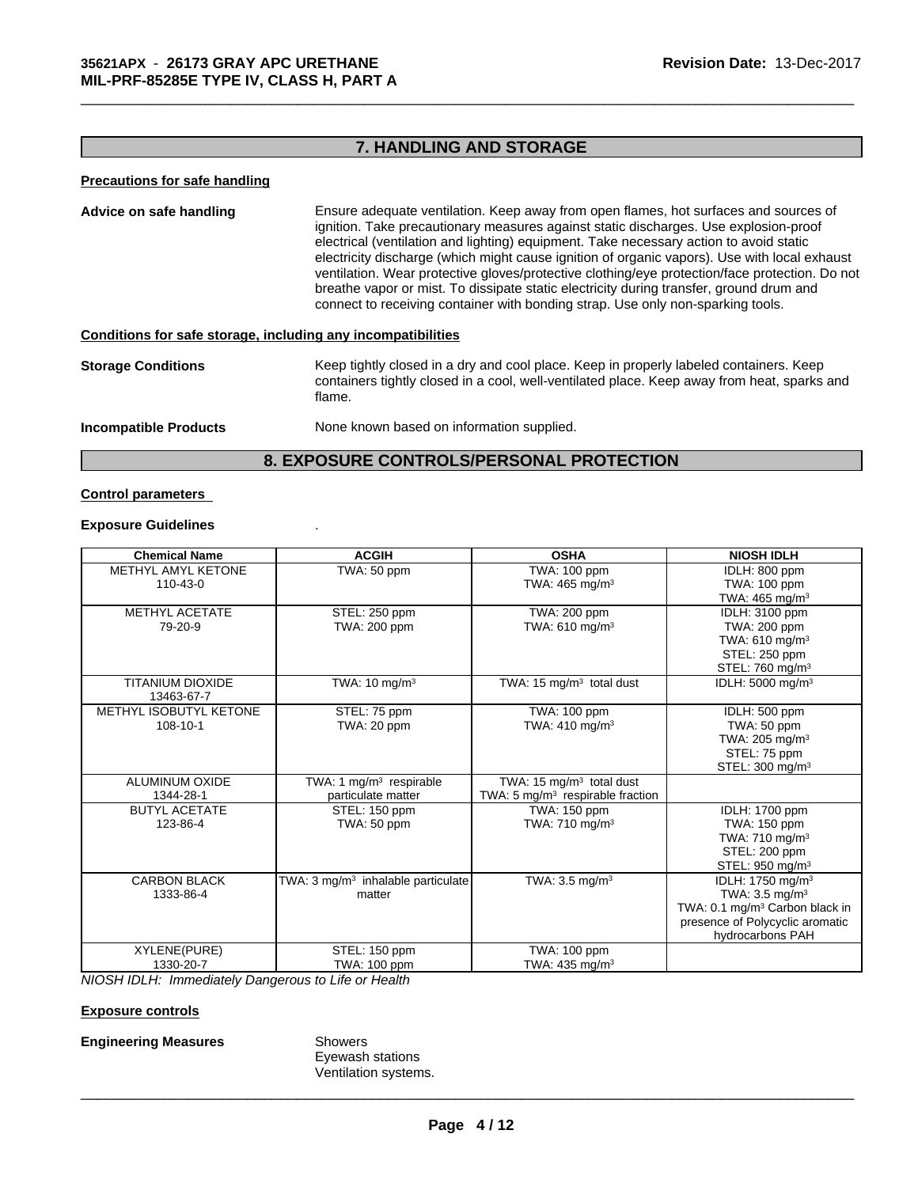### **Precautions for safe handling**

**13-ART A**<br> **7. HANDLING AND STORAGE**<br> **7. HANDLING AND STORAGE Advice on safe handling** Ensure adequate ventilation. Keep away from open flames, hot surfaces and sources of ignition. Take precautionary measures against static discharges. Use explosion-proof electrical (ventilation and lighting) equipment. Take necessary action to avoid static electricity discharge (which might cause ignition of organic vapors). Use with local exhaust ventilation. Wear protective gloves/protective clothing/eye protection/face protection. Do not breathe vapor or mist. To dissipate static electricity during transfer, ground drum and connect to receiving container with bonding strap. Use only non-sparking tools. Ensure adequate ventilation. Keep away from open flames, hot surfaces and sources of ignition. Take precautionary measures against static discharges. Use explosion-proof electricity discharge (which might cause ignition of

### **Conditions for safe storage, including any incompatibilities**

**Storage Conditions** Keep tightly closed in a dry and cool place. Keep in properly labeled containers. Keep containers tightly closed in a cool, well-ventilated place. Keep away from heat, sparks and flame.

**Incompatible Products** None known based on information supplied.

### **Control parameters**

### **Exposure Guidelines** .

| <b>Chemical Name</b>                  | <b>ACGIH</b>                                   | <b>OSHA</b>                                 | <b>NIOSH IDLH</b>                          |
|---------------------------------------|------------------------------------------------|---------------------------------------------|--------------------------------------------|
| <b>METHYL AMYL KETONE</b>             | TWA: 50 ppm                                    | TWA: 100 ppm                                | IDLH: 800 ppm                              |
| $110 - 43 - 0$                        |                                                | TWA: $465 \text{ mg/m}^3$                   | TWA: 100 ppm                               |
|                                       |                                                |                                             | TWA: $465 \text{ mg/m}^3$                  |
| <b>METHYL ACETATE</b>                 | STEL: 250 ppm                                  | TWA: 200 ppm                                | IDLH: 3100 ppm                             |
| 79-20-9                               | TWA: 200 ppm                                   | TWA: $610$ mg/m <sup>3</sup>                | TWA: 200 ppm                               |
|                                       |                                                |                                             | TWA: $610$ mg/m <sup>3</sup>               |
|                                       |                                                |                                             | STEL: 250 ppm                              |
|                                       |                                                |                                             | STEL: 760 mg/m <sup>3</sup>                |
| <b>TITANIUM DIOXIDE</b><br>13463-67-7 | TWA: $10 \text{ mg/m}^3$                       | TWA: 15 mg/m <sup>3</sup> total dust        | IDLH: 5000 mg/m <sup>3</sup>               |
| METHYL ISOBUTYL KETONE                | STEL: 75 ppm                                   | TWA: 100 ppm                                | IDLH: 500 ppm                              |
| 108-10-1                              | TWA: 20 ppm                                    | TWA: 410 mg/m <sup>3</sup>                  | TWA: 50 ppm                                |
|                                       |                                                |                                             | TWA: $205 \text{ mg/m}^3$                  |
|                                       |                                                |                                             | STEL: 75 ppm                               |
|                                       |                                                |                                             | STEL: 300 mg/m <sup>3</sup>                |
| <b>ALUMINUM OXIDE</b>                 | TWA: 1 $mg/m3$ respirable                      | TWA: 15 $mg/m3$ total dust                  |                                            |
| 1344-28-1                             | particulate matter                             | TWA: $5 \text{ mg/m}^3$ respirable fraction |                                            |
| <b>BUTYL ACETATE</b>                  | STEL: 150 ppm                                  | TWA: 150 ppm                                | <b>IDLH: 1700 ppm</b>                      |
| 123-86-4                              | TWA: 50 ppm                                    | TWA: 710 mg/m <sup>3</sup>                  | TWA: 150 ppm                               |
|                                       |                                                |                                             | TWA: $710 \text{ mg/m}^3$                  |
|                                       |                                                |                                             | STEL: 200 ppm                              |
|                                       |                                                |                                             | STEL: 950 mg/m <sup>3</sup>                |
| <b>CARBON BLACK</b>                   | TWA: 3 mg/m <sup>3</sup> inhalable particulate | TWA: $3.5 \text{ mg/m}^3$                   | IDLH: 1750 mg/m <sup>3</sup>               |
| 1333-86-4                             | matter                                         |                                             | TWA: $3.5 \text{ mg/m}^3$                  |
|                                       |                                                |                                             | TWA: 0.1 mg/m <sup>3</sup> Carbon black in |
|                                       |                                                |                                             | presence of Polycyclic aromatic            |
|                                       |                                                |                                             | hydrocarbons PAH                           |
| XYLENE(PURE)                          | STEL: 150 ppm                                  | TWA: 100 ppm                                |                                            |
| 1330-20-7                             | TWA: 100 ppm                                   | TWA: $435 \text{ mg/m}^3$                   |                                            |

*NIOSH IDLH: Immediately Dangerous to Life or Health*

### **Exposure controls**

### **Engineering Measures** Showers

Eyewash stations Ventilation systems.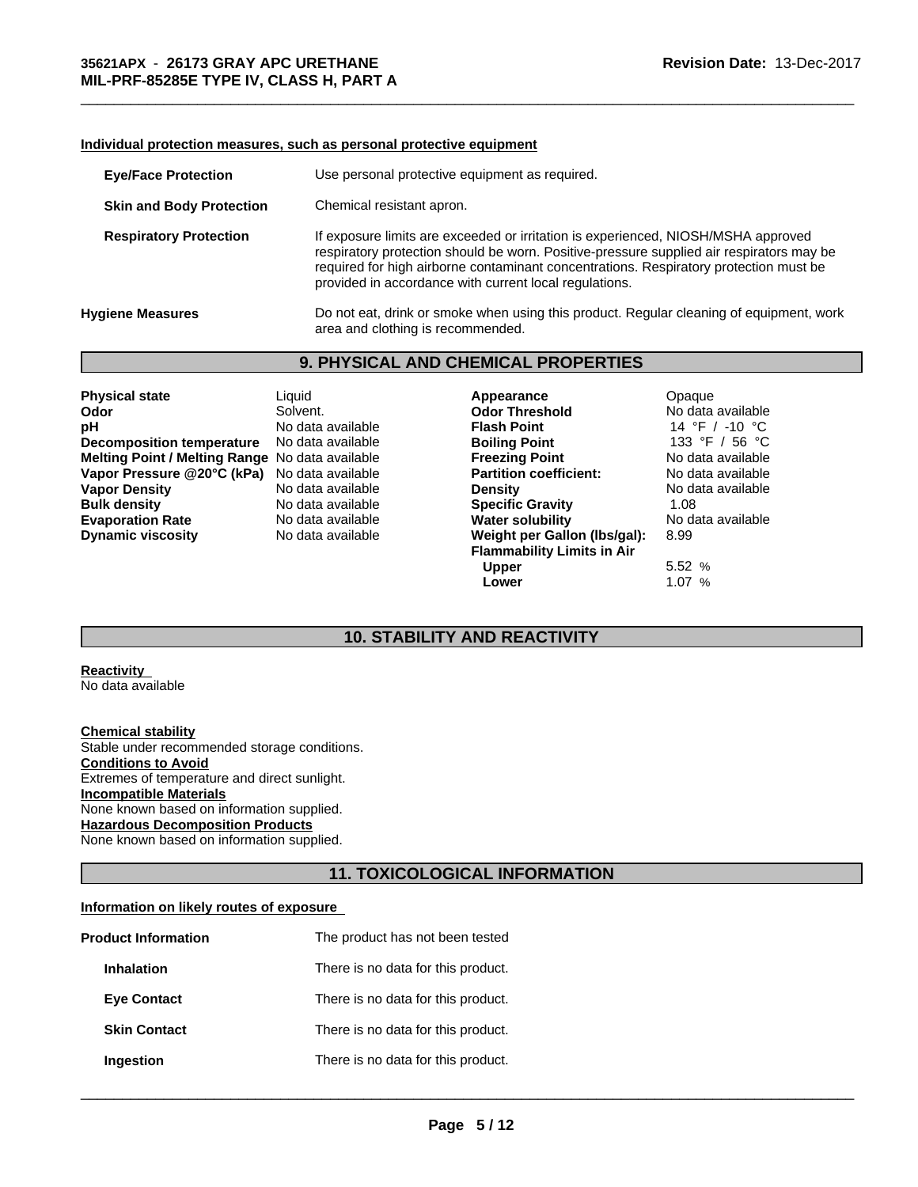### **Individual protection measures, such as personal protective equipment**

| <b>Eye/Face Protection</b>      |                                                                                                                                                                                                                                                                                                                                  | Use personal protective equipment as required. |                                                                                         |  |  |  |
|---------------------------------|----------------------------------------------------------------------------------------------------------------------------------------------------------------------------------------------------------------------------------------------------------------------------------------------------------------------------------|------------------------------------------------|-----------------------------------------------------------------------------------------|--|--|--|
| <b>Skin and Body Protection</b> |                                                                                                                                                                                                                                                                                                                                  | Chemical resistant apron.                      |                                                                                         |  |  |  |
| <b>Respiratory Protection</b>   | If exposure limits are exceeded or irritation is experienced, NIOSH/MSHA approved<br>respiratory protection should be worn. Positive-pressure supplied air respirators may be<br>required for high airborne contaminant concentrations. Respiratory protection must be<br>provided in accordance with current local regulations. |                                                |                                                                                         |  |  |  |
| <b>Hygiene Measures</b>         | area and clothing is recommended.                                                                                                                                                                                                                                                                                                |                                                | Do not eat, drink or smoke when using this product. Regular cleaning of equipment, work |  |  |  |
|                                 |                                                                                                                                                                                                                                                                                                                                  | <b>9. PHYSICAL AND CHEMICAL PROPERTIES</b>     |                                                                                         |  |  |  |
| <b>Physical state</b>           | Liquid                                                                                                                                                                                                                                                                                                                           | Appearance                                     | Opaque                                                                                  |  |  |  |
| Odor                            | Solvent.                                                                                                                                                                                                                                                                                                                         | <b>Odor Threshold</b>                          | No data available                                                                       |  |  |  |
| nН                              | No data available                                                                                                                                                                                                                                                                                                                | Flash Point                                    | 14 °F / -10 °C                                                                          |  |  |  |

| <b>Physical state</b>                           | Liquid            | Appearance                        | Opaque            |
|-------------------------------------------------|-------------------|-----------------------------------|-------------------|
| Odor                                            | Solvent.          | <b>Odor Threshold</b>             | No data available |
| рH                                              | No data available | <b>Flash Point</b>                | 14 °F / -10 °C    |
| <b>Decomposition temperature</b>                | No data available | <b>Boiling Point</b>              | 133 °F / 56 °C    |
| Melting Point / Melting Range No data available |                   | <b>Freezing Point</b>             | No data available |
| Vapor Pressure @20°C (kPa)                      | No data available | <b>Partition coefficient:</b>     | No data available |
| <b>Vapor Density</b>                            | No data available | <b>Density</b>                    | No data available |
| <b>Bulk density</b>                             | No data available | <b>Specific Gravity</b>           | 1.08              |
| <b>Evaporation Rate</b>                         | No data available | <b>Water solubility</b>           | No data available |
| <b>Dynamic viscosity</b>                        | No data available | Weight per Gallon (Ibs/gal):      | 8.99              |
|                                                 |                   | <b>Flammability Limits in Air</b> |                   |

**10. STABILITY AND REACTIVITY**<br> **10. STABILITY AND REACTIVITY**<br> **10. STABILITY AND REACTIVITY**<br> **10. STABILITY AND REACTIVITY**<br>
10. STABILITY AND REACTIVITY **Odor Threshold** No data available **pH** No data available and the Magnetic Herman available to the Boiling Point<br>No data available to data available to data available to the Boiling Point to the 133 °F / 56 °C **Melting Point / Melting Range** No data available **Freezing Point** No data available **Vandale Breefficient:** Partition coefficient:<br>Vandata available partition coefficient: **Vapor Density** No data available **Density** No data available **Bulk density** No data available **Specific Gravity** 1.08 **Evaporation Rater solubility No data available Solubility** No d<br>Mater **Solut Available Available Available Available** Solubility **Weight per Gallon (lbs/gal): Flammability Limits in Air Upper** 5.52 % **Lower** 1.07 %

 $\_$  ,  $\_$  ,  $\_$  ,  $\_$  ,  $\_$  ,  $\_$  ,  $\_$  ,  $\_$  ,  $\_$  ,  $\_$  ,  $\_$  ,  $\_$  ,  $\_$  ,  $\_$  ,  $\_$  ,  $\_$  ,  $\_$  ,  $\_$  ,  $\_$  ,  $\_$  ,  $\_$  ,  $\_$  ,  $\_$  ,  $\_$  ,  $\_$  ,  $\_$  ,  $\_$  ,  $\_$  ,  $\_$  ,  $\_$  ,  $\_$  ,  $\_$  ,  $\_$  ,  $\_$  ,  $\_$  ,  $\_$  ,  $\_$  ,

### **Reactivity**

No data available

### **Chemical stability**

Stable under recommended storage conditions. **Conditions to Avoid** Extremes of temperature and direct sunlight. **Incompatible Materials** None known based on information supplied. **Hazardous Decomposition Products** None known based on information supplied.

# **10. STABILITY AND REACTIVITY**<br>itions.<br>htt.<br>dd.<br>**11. TOXICOLOGICAL INFORMATION**<br>e

### **Information on likely routes of exposure**

| <b>Product Information</b> | The product has not been tested    |  |
|----------------------------|------------------------------------|--|
| <b>Inhalation</b>          | There is no data for this product. |  |
| <b>Eve Contact</b>         | There is no data for this product. |  |
| <b>Skin Contact</b>        | There is no data for this product. |  |
| Ingestion                  | There is no data for this product. |  |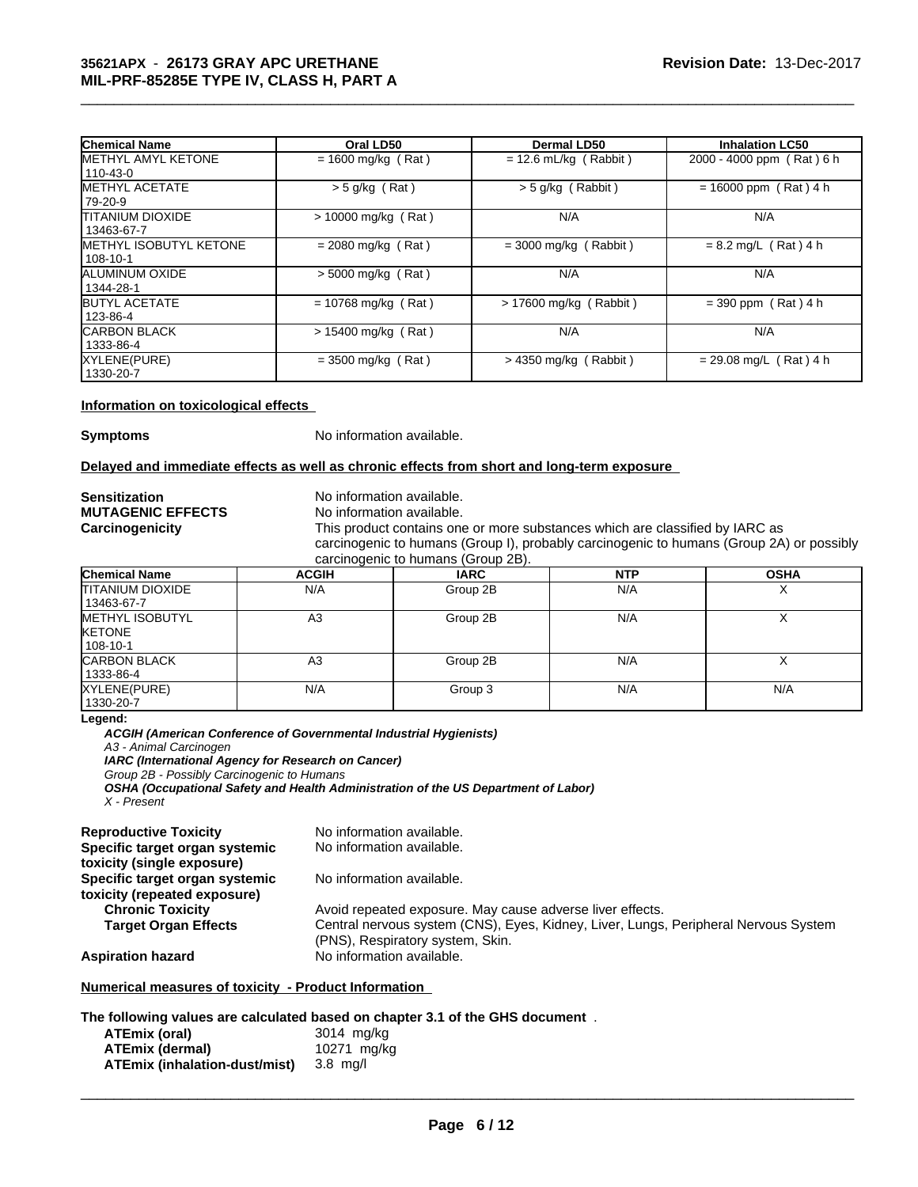| 35621APX - 26173 GRAY APC URETHANE<br>MIL-PRF-85285E TYPE IV, CLASS H, PART A |                       |                         | <b>Revision Date: 13-Dec-2017</b> |
|-------------------------------------------------------------------------------|-----------------------|-------------------------|-----------------------------------|
| <b>Chemical Name</b>                                                          | Oral LD50             | Dermal LD50             | <b>Inhalation LC50</b>            |
| <b>IMETHYL AMYL KETONE</b><br>110-43-0                                        | $= 1600$ mg/kg (Rat)  | $= 12.6$ mL/kg (Rabbit) | 2000 - 4000 ppm (Rat) 6 h         |
| <b>IMETHYL ACETATE</b><br>79-20-9                                             | $>$ 5 g/kg (Rat)      | $>$ 5 g/kg (Rabbit)     | $= 16000$ ppm (Rat) 4 h           |
| <b>ITITANIUM DIOXIDE</b><br>13463-67-7                                        | $> 10000$ mg/kg (Rat) | N/A                     | N/A                               |
| <b>IMETHYL ISOBUTYL KETONE</b><br>108-10-1                                    | $= 2080$ mg/kg (Rat)  | $=$ 3000 mg/kg (Rabbit) | $= 8.2$ mg/L (Rat) 4 h            |
| ALUMINUM OXIDE<br>1344-28-1                                                   | $> 5000$ mg/kg (Rat)  | N/A                     | N/A                               |
| <b>BUTYL ACETATE</b><br>123-86-4                                              | $= 10768$ mg/kg (Rat) | > 17600 mg/kg (Rabbit)  | $= 390$ ppm (Rat) 4 h             |
| <b>CARBON BLACK</b><br>1333-86-4                                              | $> 15400$ mg/kg (Rat) | N/A                     | N/A                               |
| XYLENE(PURE)<br>1330-20-7                                                     | $= 3500$ mg/kg (Rat)  | $>$ 4350 mg/kg (Rabbit) | $= 29.08$ mg/L (Rat) 4 h          |

### **Information on toxicological effects**

**Symptoms** No information available.

### **Delayed and immediate effects as well as chronic effects from short and long-term exposure**

**Sensitization**<br> **MUTAGENIC EFFECTS**<br>
No information available. **MUTAGENIC EFFECTS**<br>Carcinogenicity

This product contains one or more substances which are classified by IARC as carcinogenic to humans (Group I), probably carcinogenic to humans (Group 2A) or possibly carcinogenic to humans (Group 2B).

| <b>Chemical Name</b>    | <b>ACGIH</b> | <b>IARC</b> | <b>NTP</b> | <b>OSHA</b> |
|-------------------------|--------------|-------------|------------|-------------|
| <b>TITANIUM DIOXIDE</b> | N/A          | Group 2B    | N/A        | $\lambda$   |
| 13463-67-7              |              |             |            |             |
| <b>METHYL ISOBUTYL</b>  | A3           | Group 2B    | N/A        |             |
| <b>IKETONE</b>          |              |             |            |             |
| 108-10-1                |              |             |            |             |
| <b>CARBON BLACK</b>     | A3           | Group 2B    | N/A        |             |
| 1333-86-4               |              |             |            |             |
| XYLENE(PURE)            | N/A          | Group 3     | N/A        | N/A         |
| 1330-20-7               |              |             |            |             |

**Legend:**

*ACGIH (American Conference of Governmental Industrial Hygienists) A3 - Animal Carcinogen IARC (International Agency for Research on Cancer) Group 2B - Possibly Carcinogenic to Humans OSHA (Occupational Safety and Health Administration of the US Department of Labor) X - Present*

| No information available.<br>Specific target organ systemic<br>toxicity (single exposure)<br>No information available.<br>Specific target organ systemic<br>toxicity (repeated exposure)<br>Avoid repeated exposure. May cause adverse liver effects.<br><b>Chronic Toxicity</b><br>Central nervous system (CNS), Eyes, Kidney, Liver, Lungs, Peripheral Nervous System<br><b>Target Organ Effects</b> |
|--------------------------------------------------------------------------------------------------------------------------------------------------------------------------------------------------------------------------------------------------------------------------------------------------------------------------------------------------------------------------------------------------------|
|                                                                                                                                                                                                                                                                                                                                                                                                        |
|                                                                                                                                                                                                                                                                                                                                                                                                        |
|                                                                                                                                                                                                                                                                                                                                                                                                        |
|                                                                                                                                                                                                                                                                                                                                                                                                        |
|                                                                                                                                                                                                                                                                                                                                                                                                        |
|                                                                                                                                                                                                                                                                                                                                                                                                        |
| (PNS), Respiratory system, Skin.                                                                                                                                                                                                                                                                                                                                                                       |
| No information available.<br><b>Aspiration hazard</b>                                                                                                                                                                                                                                                                                                                                                  |
|                                                                                                                                                                                                                                                                                                                                                                                                        |

# **Numerical measures of toxicity - Product Information**

### **The following values are calculated based on chapter 3.1 of the GHS document** .

| ATEmix (oral)                        | 3014 mg/kg  |
|--------------------------------------|-------------|
| <b>ATEmix (dermal)</b>               | 10271 mg/kg |
| <b>ATEmix (inhalation-dust/mist)</b> | $3.8$ ma/l  |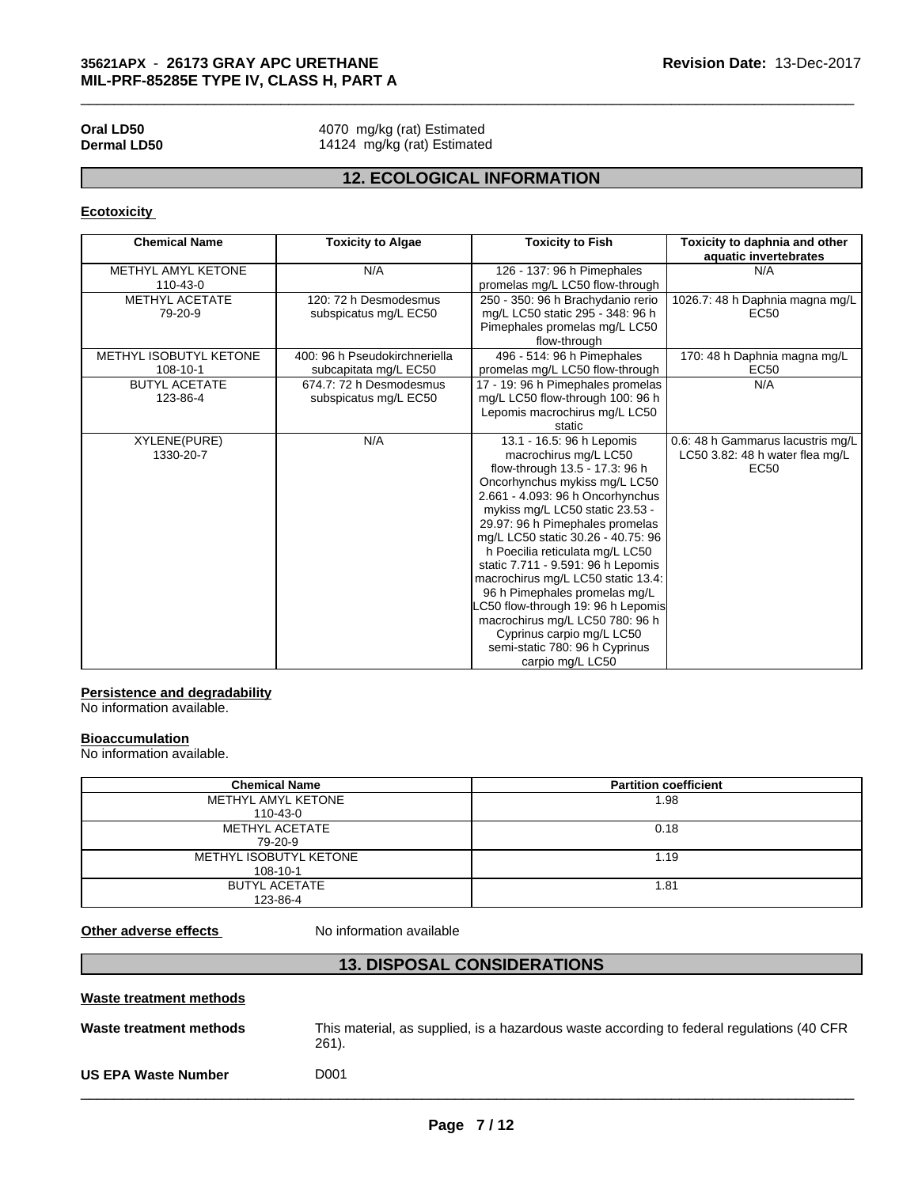# **Ecotoxicity**

|                                    | 35621APX - 26173 GRAY APC URETHANE<br>MIL-PRF-85285E TYPE IV, CLASS H, PART A |                                                                                                                                                                                                                                                                                                                                                                                                                                                                                                                                                                                   | Revision Date: 13-Dec-2017                                                   |
|------------------------------------|-------------------------------------------------------------------------------|-----------------------------------------------------------------------------------------------------------------------------------------------------------------------------------------------------------------------------------------------------------------------------------------------------------------------------------------------------------------------------------------------------------------------------------------------------------------------------------------------------------------------------------------------------------------------------------|------------------------------------------------------------------------------|
| Oral LD50<br><b>Dermal LD50</b>    | 4070 mg/kg (rat) Estimated<br>14124 mg/kg (rat) Estimated                     |                                                                                                                                                                                                                                                                                                                                                                                                                                                                                                                                                                                   |                                                                              |
|                                    |                                                                               | <b>12. ECOLOGICAL INFORMATION</b>                                                                                                                                                                                                                                                                                                                                                                                                                                                                                                                                                 |                                                                              |
| <b>Ecotoxicity</b>                 |                                                                               |                                                                                                                                                                                                                                                                                                                                                                                                                                                                                                                                                                                   |                                                                              |
| <b>Chemical Name</b>               | <b>Toxicity to Algae</b>                                                      | <b>Toxicity to Fish</b>                                                                                                                                                                                                                                                                                                                                                                                                                                                                                                                                                           | Toxicity to daphnia and other<br>aquatic invertebrates                       |
| METHYL AMYL KETONE<br>110-43-0     | N/A                                                                           | 126 - 137: 96 h Pimephales<br>promelas mg/L LC50 flow-through                                                                                                                                                                                                                                                                                                                                                                                                                                                                                                                     | N/A                                                                          |
| METHYL ACETATE<br>79-20-9          | 120: 72 h Desmodesmus<br>subspicatus mg/L EC50                                | 250 - 350: 96 h Brachydanio rerio<br>mg/L LC50 static 295 - 348: 96 h<br>Pimephales promelas mg/L LC50<br>flow-through                                                                                                                                                                                                                                                                                                                                                                                                                                                            | 1026.7: 48 h Daphnia magna mg/L<br><b>EC50</b>                               |
| METHYL ISOBUTYL KETONE<br>108-10-1 | 400: 96 h Pseudokirchneriella<br>subcapitata mg/L EC50                        | 496 - 514: 96 h Pimephales<br>promelas mg/L LC50 flow-through                                                                                                                                                                                                                                                                                                                                                                                                                                                                                                                     | 170: 48 h Daphnia magna mg/L<br>EC50                                         |
| <b>BUTYL ACETATE</b><br>123-86-4   | 674.7: 72 h Desmodesmus<br>subspicatus mg/L EC50                              | 17 - 19: 96 h Pimephales promelas<br>mg/L LC50 flow-through 100: 96 h<br>Lepomis macrochirus mg/L LC50<br>static                                                                                                                                                                                                                                                                                                                                                                                                                                                                  | N/A                                                                          |
| <b>XYLENE(PURE)</b><br>1330-20-7   | N/A                                                                           | 13.1 - 16.5: 96 h Lepomis<br>macrochirus mg/L LC50<br>flow-through 13.5 - 17.3: 96 h<br>Oncorhynchus mykiss mg/L LC50<br>2.661 - 4.093: 96 h Oncorhynchus<br>mykiss mg/L LC50 static 23.53 -<br>29.97: 96 h Pimephales promelas<br>mg/L LC50 static 30.26 - 40.75: 96<br>h Poecilia reticulata mg/L LC50<br>static 7.711 - 9.591: 96 h Lepomis<br>macrochirus mg/L LC50 static 13.4:<br>96 h Pimephales promelas mg/L<br>LC50 flow-through 19: 96 h Lepomis<br>macrochirus mg/L LC50 780: 96 h<br>Cyprinus carpio mg/L LC50<br>semi-static 780: 96 h Cyprinus<br>carpio mg/L LC50 | 0.6: 48 h Gammarus lacustris mg/L<br>LC50 3.82: 48 h water flea mg/L<br>EC50 |

# **Persistence and degradability**

No information available.

### **Bioaccumulation**

| No information available.                           |                                    |                                                                                           |
|-----------------------------------------------------|------------------------------------|-------------------------------------------------------------------------------------------|
| <b>Bioaccumulation</b><br>No information available. |                                    |                                                                                           |
| <b>Chemical Name</b>                                |                                    | <b>Partition coefficient</b>                                                              |
| METHYL AMYL KETONE                                  | 110-43-0                           | 1.98                                                                                      |
| <b>METHYL ACETATE</b><br>79-20-9                    |                                    | 0.18                                                                                      |
| METHYL ISOBUTYL KETONE<br>$108 - 10 - 1$            |                                    | 1.19                                                                                      |
| <b>BUTYL ACETATE</b>                                | 123-86-4                           | 1.81                                                                                      |
| Other adverse effects                               | No information available           |                                                                                           |
|                                                     | <b>13. DISPOSAL CONSIDERATIONS</b> |                                                                                           |
| Waste treatment methods                             |                                    |                                                                                           |
| Waste treatment methods                             |                                    | This material, as supplied, is a hazardous waste according to federal regulations (40 CFR |

| Waste treatment methods    |                                                                                                      |
|----------------------------|------------------------------------------------------------------------------------------------------|
| Waste treatment methods    | This material, as supplied, is a hazardous waste according to federal regulations (40 CFR<br>$261$ . |
| <b>US EPA Waste Number</b> | D001                                                                                                 |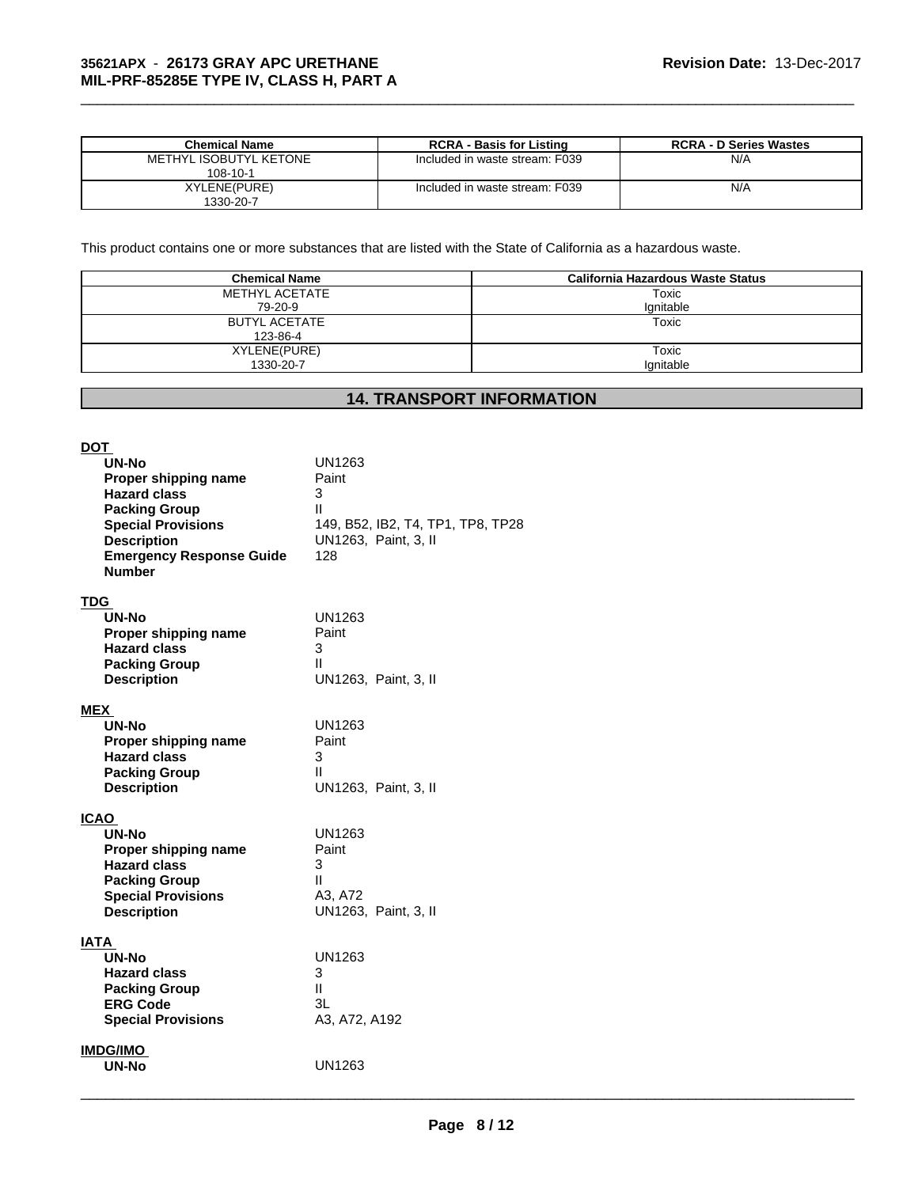| Chemical Name          | <b>RCRA - Basis for Listing</b> | <b>RCRA - D Series Wastes</b> |
|------------------------|---------------------------------|-------------------------------|
| METHYL ISOBUTYL KETONE | Included in waste stream: F039  | N/A                           |
| 108-10-1               |                                 |                               |
| XYLENE(PURE)           | Included in waste stream: F039  | N/A                           |
| 1330-20-7              |                                 |                               |

 $\_$  ,  $\_$  ,  $\_$  ,  $\_$  ,  $\_$  ,  $\_$  ,  $\_$  ,  $\_$  ,  $\_$  ,  $\_$  ,  $\_$  ,  $\_$  ,  $\_$  ,  $\_$  ,  $\_$  ,  $\_$  ,  $\_$  ,  $\_$  ,  $\_$  ,  $\_$  ,  $\_$  ,  $\_$  ,  $\_$  ,  $\_$  ,  $\_$  ,  $\_$  ,  $\_$  ,  $\_$  ,  $\_$  ,  $\_$  ,  $\_$  ,  $\_$  ,  $\_$  ,  $\_$  ,  $\_$  ,  $\_$  ,  $\_$  ,

|                                |  | <b>RCRA - D Series Wastes</b>                                                                                                                                                                                            |  |
|--------------------------------|--|--------------------------------------------------------------------------------------------------------------------------------------------------------------------------------------------------------------------------|--|
| Included in waste stream: F039 |  | N/A                                                                                                                                                                                                                      |  |
|                                |  |                                                                                                                                                                                                                          |  |
|                                |  | N/A                                                                                                                                                                                                                      |  |
|                                |  |                                                                                                                                                                                                                          |  |
|                                |  |                                                                                                                                                                                                                          |  |
|                                |  |                                                                                                                                                                                                                          |  |
|                                |  |                                                                                                                                                                                                                          |  |
|                                |  |                                                                                                                                                                                                                          |  |
| <b>Chemical Name</b>           |  | <b>California Hazardous Waste Status</b>                                                                                                                                                                                 |  |
| <b>METHYL ACETATE</b>          |  | Toxic                                                                                                                                                                                                                    |  |
| 79-20-9                        |  | Ignitable                                                                                                                                                                                                                |  |
|                                |  | Toxic                                                                                                                                                                                                                    |  |
|                                |  |                                                                                                                                                                                                                          |  |
|                                |  | Toxic                                                                                                                                                                                                                    |  |
| 1330-20-7                      |  | Ignitable                                                                                                                                                                                                                |  |
|                                |  |                                                                                                                                                                                                                          |  |
|                                |  |                                                                                                                                                                                                                          |  |
|                                |  |                                                                                                                                                                                                                          |  |
|                                |  |                                                                                                                                                                                                                          |  |
|                                |  |                                                                                                                                                                                                                          |  |
|                                |  |                                                                                                                                                                                                                          |  |
|                                |  | <b>RCRA - Basis for Listing</b><br>Included in waste stream: F039<br>This product contains one or more substances that are listed with the State of California as a hazardous waste.<br><b>14. TRANSPORT INFORMATION</b> |  |

| <u>DOT</u><br><b>UN-No</b><br>Proper shipping name<br><b>Hazard class</b><br><b>Packing Group</b><br><b>Special Provisions</b><br><b>Description</b><br><b>Emergency Response Guide</b><br><b>Number</b> | <b>UN1263</b><br>Paint<br>3<br>Ш<br>149, B52, IB2, T4, TP1, TP8, TP28<br>UN1263, Paint, 3, II<br>128 |
|----------------------------------------------------------------------------------------------------------------------------------------------------------------------------------------------------------|------------------------------------------------------------------------------------------------------|
| TDG.<br><b>UN-No</b><br>Proper shipping name<br><b>Hazard class</b><br><b>Packing Group</b><br><b>Description</b>                                                                                        | UN1263<br>Paint<br>3<br>Ш<br>UN1263, Paint, 3, II                                                    |
| <b>MEX</b><br><b>UN-No</b><br>Proper shipping name<br><b>Hazard class</b><br><b>Packing Group</b><br><b>Description</b>                                                                                  | <b>UN1263</b><br>Paint<br>3<br>$\mathbf{I}$<br>UN1263, Paint, 3, II                                  |
| <b>ICAO</b><br>UN-No<br>Proper shipping name<br><b>Hazard class</b><br><b>Packing Group</b><br><b>Special Provisions</b><br><b>Description</b>                                                           | <b>UN1263</b><br>Paint<br>3<br>$\mathbf{H}$<br>A3, A72<br>UN1263, Paint, 3, II                       |
| IATA<br>UN-No<br><b>Hazard class</b><br><b>Packing Group</b><br><b>ERG Code</b><br><b>Special Provisions</b>                                                                                             | <b>UN1263</b><br>3<br>$\mathbf{H}$<br>3L<br>A3, A72, A192                                            |
| <b>IMDG/IMO</b><br>UN-No                                                                                                                                                                                 | <b>UN1263</b>                                                                                        |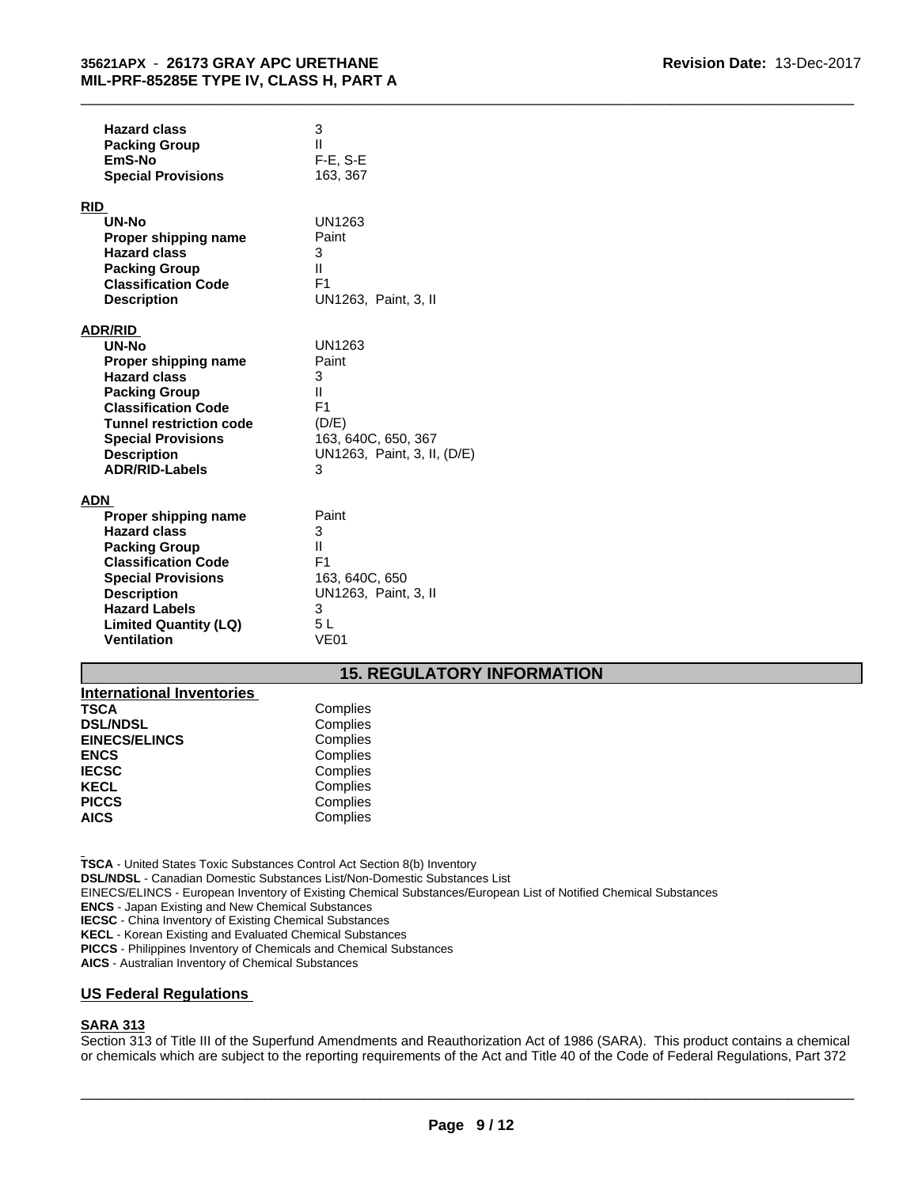| <b>Hazard class</b><br><b>Packing Group</b><br>EmS-No | 3<br>Ш<br>F-E, S-E               |  |
|-------------------------------------------------------|----------------------------------|--|
| <b>Special Provisions</b>                             | 163, 367                         |  |
| <b>RID</b>                                            |                                  |  |
| UN-No                                                 | <b>UN1263</b>                    |  |
| Proper shipping name                                  | Paint                            |  |
| <b>Hazard class</b>                                   | 3                                |  |
| <b>Packing Group</b>                                  | Ш.                               |  |
| <b>Classification Code</b>                            | F <sub>1</sub>                   |  |
| <b>Description</b>                                    | UN1263, Paint, 3, II             |  |
| <b>ADR/RID</b>                                        |                                  |  |
| UN-No                                                 | <b>UN1263</b>                    |  |
| Proper shipping name                                  | Paint                            |  |
| <b>Hazard class</b>                                   | 3                                |  |
| <b>Packing Group</b>                                  | $\mathbf{H}$                     |  |
| <b>Classification Code</b>                            | F <sub>1</sub>                   |  |
| <b>Tunnel restriction code</b>                        | (D/E)                            |  |
| <b>Special Provisions</b>                             | 163, 640C, 650, 367              |  |
| <b>Description</b>                                    | UN1263, Paint, 3, II, (D/E)<br>3 |  |
| <b>ADR/RID-Labels</b>                                 |                                  |  |
| <b>ADN</b>                                            |                                  |  |
| Proper shipping name                                  | Paint                            |  |
| <b>Hazard class</b>                                   | 3                                |  |
| <b>Packing Group</b>                                  | Ш                                |  |
| <b>Classification Code</b>                            | F <sub>1</sub>                   |  |
| <b>Special Provisions</b>                             | 163, 640C, 650                   |  |
| <b>Description</b>                                    | UN1263, Paint, 3, II             |  |
| <b>Hazard Labels</b>                                  | 3<br>5L                          |  |
| <b>Limited Quantity (LQ)</b><br><b>Ventilation</b>    | <b>VE01</b>                      |  |
|                                                       |                                  |  |
| <b>15. REGULATORY INFORMATION</b>                     |                                  |  |
| <b>International Inventories</b>                      |                                  |  |
| <b>TSCA</b>                                           | Complies                         |  |
| <b>DSL/NDSL</b>                                       | Complies                         |  |
| <b>FINECS/FI INCS</b>                                 | Compliae                         |  |

| <b>International Inventories</b> |          |
|----------------------------------|----------|
| <b>TSCA</b>                      | Complies |
| <b>DSL/NDSL</b>                  | Complies |
| <b>EINECS/ELINCS</b>             | Complies |
| <b>ENCS</b>                      | Complies |
| <b>IECSC</b>                     | Complies |
| <b>KECL</b>                      | Complies |
| <b>PICCS</b>                     | Complies |
| <b>AICS</b>                      | Complies |

**TSCA** - United States Toxic Substances Control Act Section 8(b) Inventory **DSL/NDSL** - Canadian Domestic Substances List/Non-Domestic Substances List EINECS/ELINCS - European Inventory of Existing Chemical Substances/European List of Notified Chemical Substances **ENCS** - Japan Existing and New Chemical Substances

**IECSC** - China Inventory of Existing Chemical Substances

**KECL** - Korean Existing and Evaluated Chemical Substances

**PICCS** - Philippines Inventory of Chemicals and Chemical Substances

**AICS** - Australian Inventory of Chemical Substances

# **US Federal Regulations**

# **SARA 313**

Section 313 of Title III of the Superfund Amendments and Reauthorization Act of 1986 (SARA). This product contains a chemical or chemicals which are subject to the reporting requirements of the Act and Title 40 of the Code of Federal Regulations, Part 372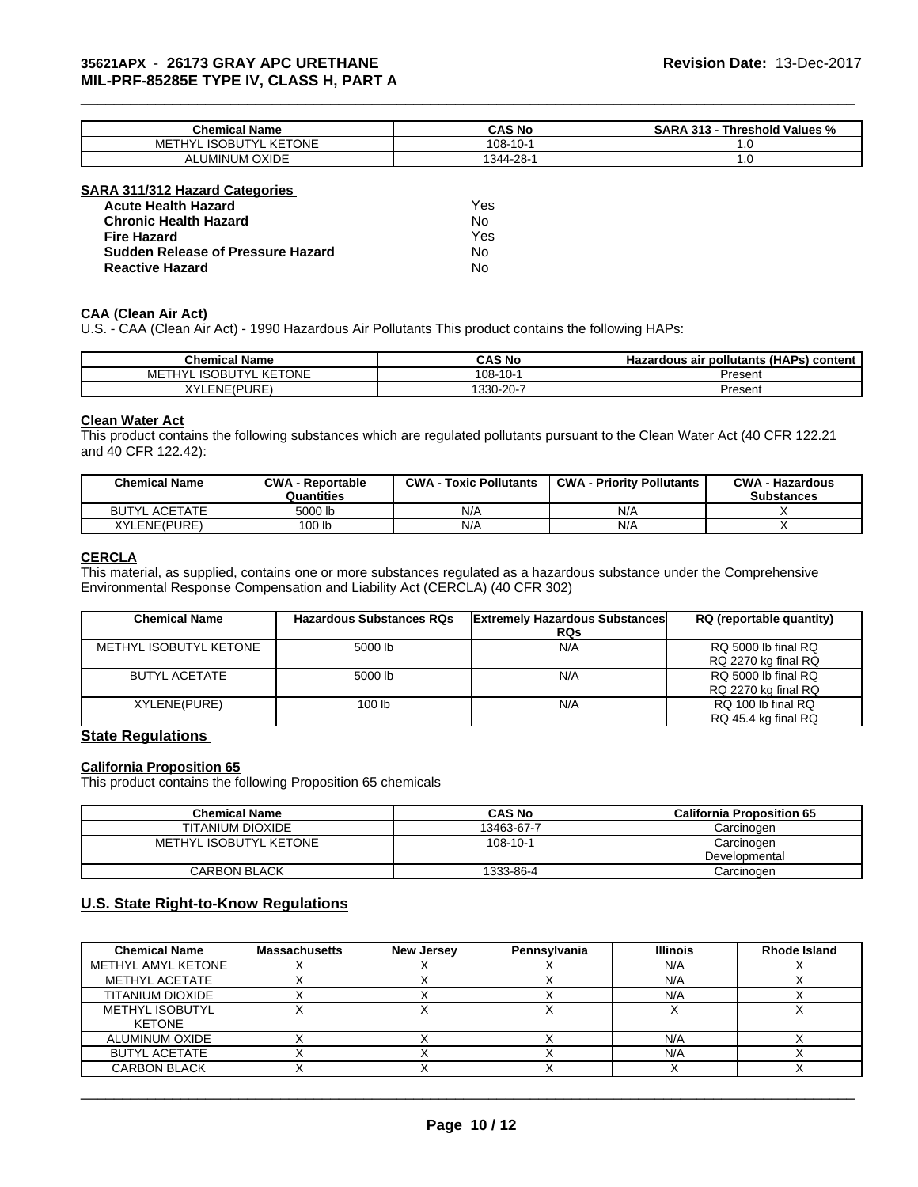# **35621APX** - **26173 GRAY APC URETHANE MIL-PRF-85285E TYPE IV, CLASS H, PART A**

| <b>Chemical Name</b>                                                       | CAS <sub>N</sub><br><b>UAJ NU</b> | $\sim$<br>.313<br>l Values %<br>AP.<br>hreshold<br>- 70 |
|----------------------------------------------------------------------------|-----------------------------------|---------------------------------------------------------|
| . KETONE<br><b>ISOBI</b><br>ME <sup>®</sup><br>∵⊔∨′<br>$T^{\prime}$<br>שטו | $-10-$<br>$108 -$                 | .v                                                      |
| <b>ALUMINUM OXIDE</b><br>ΑL                                                | ററ<br>1344-<br>-دە -              | $\cdot$                                                 |

\_\_\_\_\_\_\_\_\_\_\_\_\_\_\_\_\_\_\_\_\_\_\_\_\_\_\_\_\_\_\_\_\_\_\_\_\_\_\_\_\_\_\_\_\_\_\_\_\_\_\_\_\_\_\_\_\_\_\_\_\_\_\_\_\_\_\_\_\_\_\_\_\_\_\_\_\_\_\_\_\_\_\_\_\_\_\_\_\_\_\_\_\_

### **SARA 311/312 Hazard Categories**

| <b>Acute Health Hazard</b>               | Yes |
|------------------------------------------|-----|
| <b>Chronic Health Hazard</b>             | N٥  |
| Fire Hazard                              | Yes |
| <b>Sudden Release of Pressure Hazard</b> | N٥  |
| <b>Reactive Hazard</b>                   | N٥  |

# **CAA (Clean Air Act)**

U.S. - CAA (Clean Air Act) - 1990 Hazardous Air Pollutants This product contains the following HAPs:

| <b>Chemical Name</b>                                   | CAS No         | Hazardous air pollutants (HAPs) content |
|--------------------------------------------------------|----------------|-----------------------------------------|
| KETONE<br>L ISOBUTY'<br>ME <sup>-</sup><br>$H_{\rm M}$ | $108 - 10 - 1$ | Present                                 |
| ENE(PURE)<br>vvı                                       | 330-20-7       | Present                                 |

### **Clean Water Act**

This product contains the following substances which are regulated pollutants pursuant to the Clean Water Act (40 CFR 122.21 and 40 CFR 122.42):

| <b>Chemical Name</b> | <b>CWA - Reportable</b><br>Quantities | <b>CWA - Toxic Pollutants</b> | <b>CWA - Priority Pollutants</b> | <b>CWA - Hazardous</b><br><b>Substances</b> |
|----------------------|---------------------------------------|-------------------------------|----------------------------------|---------------------------------------------|
| <b>BUTYL ACETATE</b> | 5000 lb                               | N/A                           | N/A                              |                                             |
| XYLENE(PURE)         | 100 lb                                | N/A                           | N/A                              |                                             |

### **CERCLA**

This material, as supplied, contains one or more substances regulated as a hazardous substance under the Comprehensive Environmental Response Compensation and Liability Act (CERCLA) (40 CFR 302)

| <b>Chemical Name</b>   | <b>Hazardous Substances RQs</b> | <b>Extremely Hazardous Substances</b><br><b>RQs</b> | RQ (reportable quantity) |
|------------------------|---------------------------------|-----------------------------------------------------|--------------------------|
| METHYL ISOBUTYL KETONE | 5000 lb                         | N/A                                                 | RQ 5000 lb final RQ      |
|                        |                                 |                                                     | RQ 2270 kg final RQ      |
| <b>BUTYL ACETATE</b>   | 5000 lb                         | N/A                                                 | RQ 5000 lb final RQ      |
|                        |                                 |                                                     | RQ 2270 kg final RQ      |
| XYLENE(PURE)           | 100 <sub>lb</sub>               | N/A                                                 | RQ 100 lb final RQ       |
|                        |                                 |                                                     | RQ 45.4 kg final RQ      |

### **State Regulations**

### **California Proposition 65**

This product contains the following Proposition 65 chemicals

| <b>Chemical Name</b>   | CAS No     | <b>California Proposition 65</b> |
|------------------------|------------|----------------------------------|
| TITANIUM DIOXIDE       | 13463-67-7 | Carcinogen                       |
| METHYL ISOBUTYL KETONE | 108-10-1   | Carcinogen                       |
|                        |            | Developmental                    |
| <b>CARBON BLACK</b>    | 1333-86-4  | Carcinoɑen                       |

# **U.S. State Right-to-Know Regulations**

| <b>Chemical Name</b>             | <b>Massachusetts</b> | <b>New Jersey</b> | Pennsylvania | <b>Illinois</b> | Rhode Island |
|----------------------------------|----------------------|-------------------|--------------|-----------------|--------------|
| METHYL AMYL KETONE               |                      |                   |              | N/A             |              |
| METHYL ACETATE                   |                      |                   |              | N/A             |              |
| TITANIUM DIOXIDE                 |                      |                   |              | N/A             |              |
| <b>METHYL ISOBUTYL</b><br>KETONE |                      |                   |              |                 |              |
| ALUMINUM OXIDE                   |                      |                   |              | N/A             |              |
| <b>BUTYL ACETATE</b>             |                      |                   |              | N/A             |              |
| <b>CARBON BLACK</b>              |                      |                   |              |                 |              |

 $\overline{\phantom{a}}$  ,  $\overline{\phantom{a}}$  ,  $\overline{\phantom{a}}$  ,  $\overline{\phantom{a}}$  ,  $\overline{\phantom{a}}$  ,  $\overline{\phantom{a}}$  ,  $\overline{\phantom{a}}$  ,  $\overline{\phantom{a}}$  ,  $\overline{\phantom{a}}$  ,  $\overline{\phantom{a}}$  ,  $\overline{\phantom{a}}$  ,  $\overline{\phantom{a}}$  ,  $\overline{\phantom{a}}$  ,  $\overline{\phantom{a}}$  ,  $\overline{\phantom{a}}$  ,  $\overline{\phantom{a}}$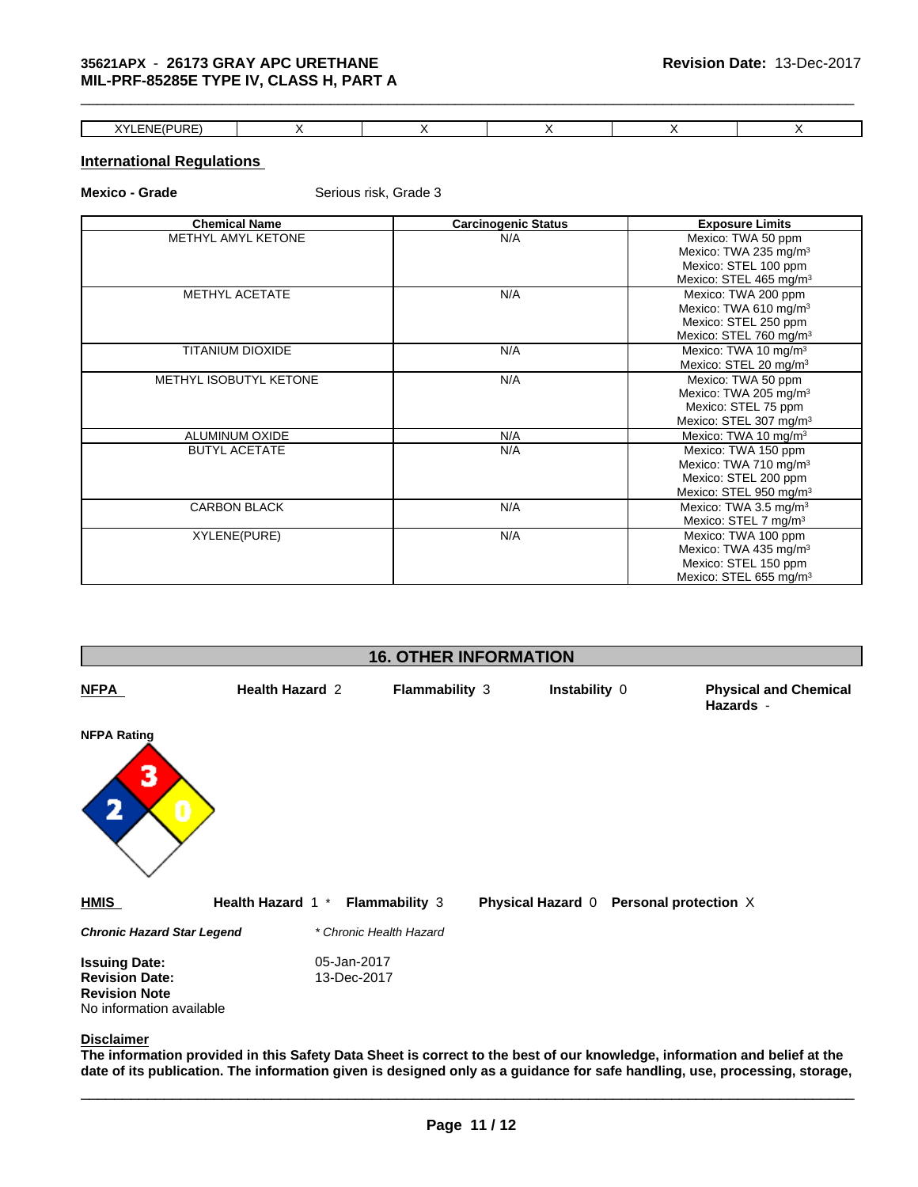# **35621APX** - **26173 GRAY APC URETHANE MIL-PRF-85285E TYPE IV, CLASS H, PART A**

| XYLENE(PURE)<br>URE' |  |  |  |
|----------------------|--|--|--|

 $\_$  ,  $\_$  ,  $\_$  ,  $\_$  ,  $\_$  ,  $\_$  ,  $\_$  ,  $\_$  ,  $\_$  ,  $\_$  ,  $\_$  ,  $\_$  ,  $\_$  ,  $\_$  ,  $\_$  ,  $\_$  ,  $\_$  ,  $\_$  ,  $\_$  ,  $\_$  ,  $\_$  ,  $\_$  ,  $\_$  ,  $\_$  ,  $\_$  ,  $\_$  ,  $\_$  ,  $\_$  ,  $\_$  ,  $\_$  ,  $\_$  ,  $\_$  ,  $\_$  ,  $\_$  ,  $\_$  ,  $\_$  ,  $\_$  ,

# **International Regulations**

**Mexico - Grade** Serious risk, Grade 3

|                         | <b>Carcinogenic Status</b> | <b>Exposure Limits</b>             |
|-------------------------|----------------------------|------------------------------------|
| METHYL AMYL KETONE      | N/A                        | Mexico: TWA 50 ppm                 |
|                         |                            | Mexico: TWA 235 mg/m <sup>3</sup>  |
|                         |                            | Mexico: STEL 100 ppm               |
|                         |                            | Mexico: STEL 465 mg/m <sup>3</sup> |
| <b>METHYL ACETATE</b>   | N/A                        | Mexico: TWA 200 ppm                |
|                         |                            | Mexico: TWA 610 mg/m <sup>3</sup>  |
|                         |                            | Mexico: STEL 250 ppm               |
|                         |                            | Mexico: STEL 760 mg/m <sup>3</sup> |
| <b>TITANIUM DIOXIDE</b> | N/A                        | Mexico: TWA 10 mg/m <sup>3</sup>   |
|                         |                            | Mexico: STEL 20 mg/m <sup>3</sup>  |
| METHYL ISOBUTYL KETONE  | N/A                        | Mexico: TWA 50 ppm                 |
|                         |                            | Mexico: TWA 205 mg/m <sup>3</sup>  |
|                         |                            | Mexico: STEL 75 ppm                |
|                         |                            | Mexico: STEL 307 mg/m <sup>3</sup> |
| ALUMINUM OXIDE          | N/A                        | Mexico: TWA 10 mg/m <sup>3</sup>   |
| <b>BUTYL ACETATE</b>    | N/A                        | Mexico: TWA 150 ppm                |
|                         |                            | Mexico: TWA 710 mg/m <sup>3</sup>  |
|                         |                            | Mexico: STEL 200 ppm               |
|                         |                            | Mexico: STEL 950 mg/m <sup>3</sup> |
| <b>CARBON BLACK</b>     | N/A                        | Mexico: TWA 3.5 mg/m <sup>3</sup>  |
|                         |                            | Mexico: STEL 7 mg/m <sup>3</sup>   |
| XYLENE(PURE)            | N/A                        | Mexico: TWA 100 ppm                |
|                         |                            | Mexico: TWA 435 mg/m <sup>3</sup>  |
|                         |                            | Mexico: STEL 150 ppm               |
|                         |                            | Mexico: STEL 655 mg/m <sup>3</sup> |



**The information provided in this Safety Data Sheet is correct to the best of our knowledge, information and belief at the date of its publication. The information given is designed only as a guidance for safe handling, use, processing, storage,**

\_\_\_\_\_\_\_\_\_\_\_\_\_\_\_\_\_\_\_\_\_\_\_\_\_\_\_\_\_\_\_\_\_\_\_\_\_\_\_\_\_\_\_\_\_\_\_\_\_\_\_\_\_\_\_\_\_\_\_\_\_\_\_\_\_\_\_\_\_\_\_\_\_\_\_\_\_\_\_\_\_\_\_\_\_\_\_\_\_\_\_\_\_